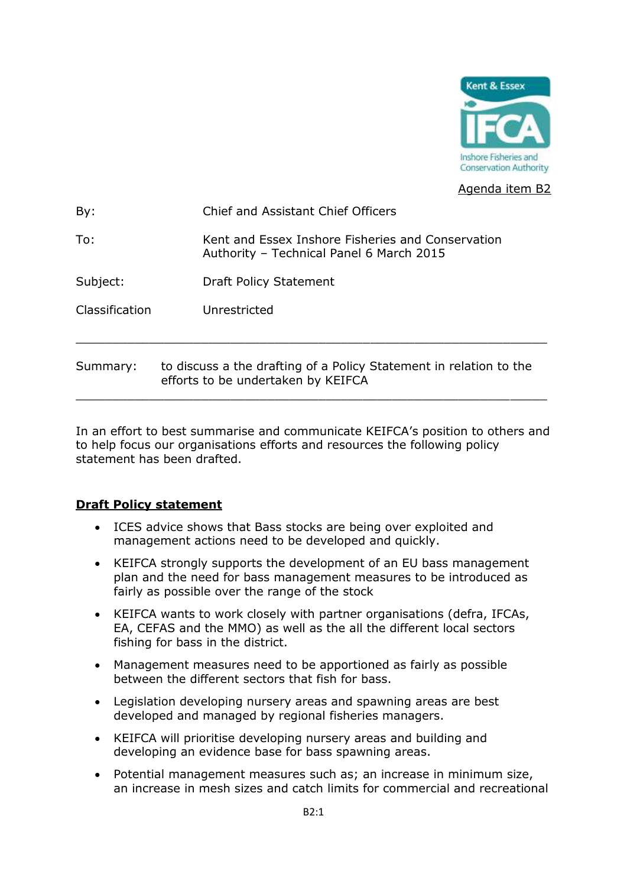

Agenda item B2

| To:            | Kent and Essex Inshore Fisheries and Conservation                                                        |
|----------------|----------------------------------------------------------------------------------------------------------|
|                | Authority - Technical Panel 6 March 2015                                                                 |
| Subject:       | Draft Policy Statement                                                                                   |
| Classification | Unrestricted                                                                                             |
|                |                                                                                                          |
| Summary:       | to discuss a the drafting of a Policy Statement in relation to the<br>efforts to be undertaken by KEIFCA |

In an effort to best summarise and communicate KEIFCA's position to others and to help focus our organisations efforts and resources the following policy statement has been drafted.

## **Draft Policy statement**

- ICES advice shows that Bass stocks are being over exploited and management actions need to be developed and quickly.
- KEIFCA strongly supports the development of an EU bass management plan and the need for bass management measures to be introduced as fairly as possible over the range of the stock
- KEIFCA wants to work closely with partner organisations (defra, IFCAs, EA, CEFAS and the MMO) as well as the all the different local sectors fishing for bass in the district.
- Management measures need to be apportioned as fairly as possible between the different sectors that fish for bass.
- Legislation developing nursery areas and spawning areas are best developed and managed by regional fisheries managers.
- KEIFCA will prioritise developing nursery areas and building and developing an evidence base for bass spawning areas.
- Potential management measures such as; an increase in minimum size, an increase in mesh sizes and catch limits for commercial and recreational